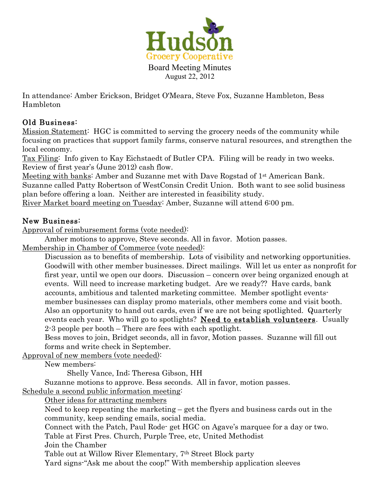

In attendance: Amber Erickson, Bridget O'Meara, Steve Fox, Suzanne Hambleton, Bess Hambleton

## Old Business:

Mission Statement: HGC is committed to serving the grocery needs of the community while focusing on practices that support family farms, conserve natural resources, and strengthen the local economy.

Tax Filing: Info given to Kay Eichstaedt of Butler CPA. Filing will be ready in two weeks. Review of first year's (June 2012) cash flow.

Meeting with banks: Amber and Suzanne met with Dave Rogstad of 1st American Bank. Suzanne called Patty Robertson of WestConsin Credit Union. Both want to see solid business plan before offering a loan. Neither are interested in feasibility study.

River Market board meeting on Tuesday: Amber, Suzanne will attend 6:00 pm.

## New Business:

Approval of reimbursement forms (vote needed):

Amber motions to approve, Steve seconds. All in favor. Motion passes. Membership in Chamber of Commerce (vote needed):

Discussion as to benefits of membership. Lots of visibility and networking opportunities. Goodwill with other member businesses. Direct mailings. Will let us enter as nonprofit for first year, until we open our doors. Discussion – concern over being organized enough at events. Will need to increase marketing budget. Are we ready?? Have cards, bank accounts, ambitious and talented marketing committee. Member spotlight eventsmember businesses can display promo materials, other members come and visit booth. Also an opportunity to hand out cards, even if we are not being spotlighted. Quarterly events each year. Who will go to spotlights? Need to establish volunteers. Usually 2-3 people per booth – There are fees with each spotlight.

Bess moves to join, Bridget seconds, all in favor, Motion passes. Suzanne will fill out forms and write check in September.

Approval of new members (vote needed):

New members:

Shelly Vance, Ind; Theresa Gibson, HH

Suzanne motions to approve. Bess seconds. All in favor, motion passes.

Schedule a second public information meeting:

Other ideas for attracting members

Need to keep repeating the marketing – get the flyers and business cards out in the community, keep sending emails, social media.

Connect with the Patch, Paul Rode- get HGC on Agave's marquee for a day or two.

Table at First Pres. Church, Purple Tree, etc, United Methodist

Join the Chamber

Table out at Willow River Elementary, 7th Street Block party

Yard signs-"Ask me about the coop!" With membership application sleeves